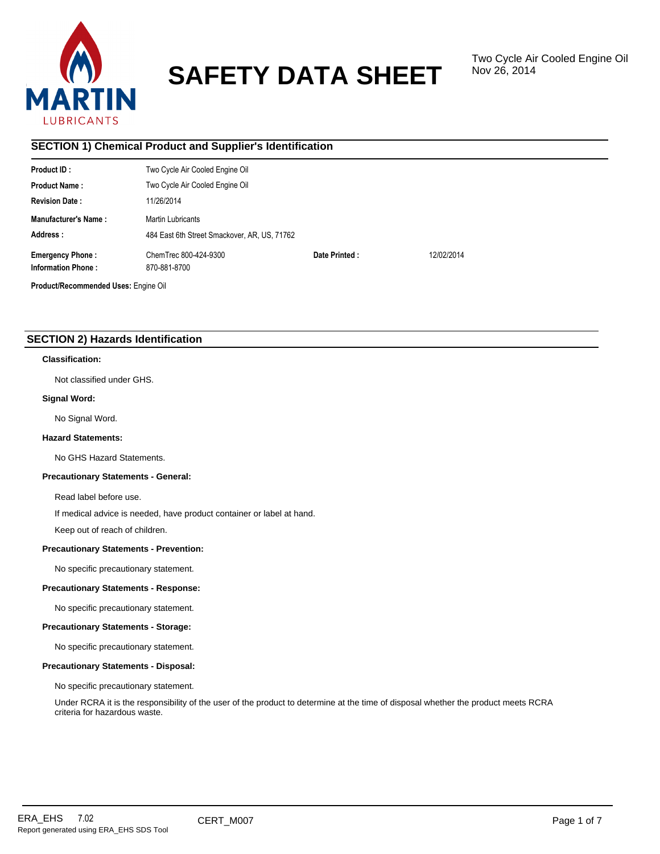

# **SAFETY DATA SHEET**

# **SECTION 1) Chemical Product and Supplier's Identification**

| Product ID:                                          | Two Cycle Air Cooled Engine Oil              |               |            |
|------------------------------------------------------|----------------------------------------------|---------------|------------|
| <b>Product Name:</b>                                 | Two Cycle Air Cooled Engine Oil              |               |            |
| <b>Revision Date:</b>                                | 11/26/2014                                   |               |            |
| Manufacturer's Name:                                 | Martin Lubricants                            |               |            |
| Address:                                             | 484 East 6th Street Smackover, AR, US, 71762 |               |            |
| <b>Emergency Phone:</b><br><b>Information Phone:</b> | ChemTrec 800-424-9300<br>870-881-8700        | Date Printed: | 12/02/2014 |
| Product/Recommended Uses: Engine Oil                 |                                              |               |            |

# **SECTION 2) Hazards Identification**

#### **Classification:**

Not classified under GHS.

#### **Signal Word:**

No Signal Word.

#### **Hazard Statements:**

No GHS Hazard Statements.

#### **Precautionary Statements - General:**

Read label before use.

If medical advice is needed, have product container or label at hand.

Keep out of reach of children.

#### **Precautionary Statements - Prevention:**

No specific precautionary statement.

#### **Precautionary Statements - Response:**

No specific precautionary statement.

#### **Precautionary Statements - Storage:**

No specific precautionary statement.

#### **Precautionary Statements - Disposal:**

No specific precautionary statement.

Under RCRA it is the responsibility of the user of the product to determine at the time of disposal whether the product meets RCRA criteria for hazardous waste.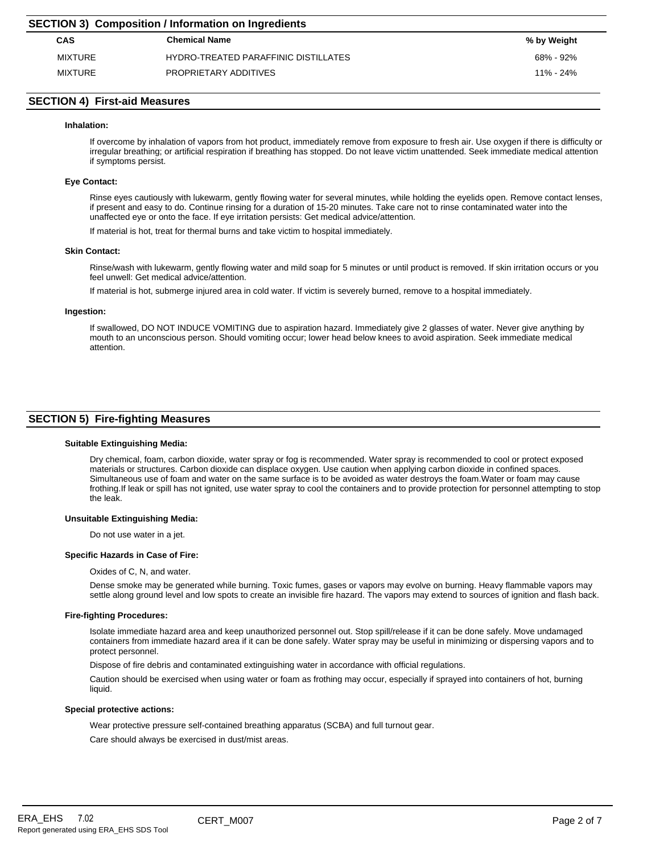| <b>SECTION 3) Composition / Information on Ingredients</b> |                                      |               |  |  |  |
|------------------------------------------------------------|--------------------------------------|---------------|--|--|--|
| <b>CAS</b>                                                 | <b>Chemical Name</b>                 | % by Weight   |  |  |  |
| <b>MIXTURE</b>                                             | HYDRO-TREATED PARAFFINIC DISTILLATES | 68% - 92%     |  |  |  |
| <b>MIXTURE</b>                                             | PROPRIETARY ADDITIVES                | $11\% - 24\%$ |  |  |  |

# **SECTION 4) First-aid Measures**

#### **Inhalation:**

If overcome by inhalation of vapors from hot product, immediately remove from exposure to fresh air. Use oxygen if there is difficulty or irregular breathing; or artificial respiration if breathing has stopped. Do not leave victim unattended. Seek immediate medical attention if symptoms persist.

#### **Eye Contact:**

Rinse eyes cautiously with lukewarm, gently flowing water for several minutes, while holding the eyelids open. Remove contact lenses, if present and easy to do. Continue rinsing for a duration of 15-20 minutes. Take care not to rinse contaminated water into the unaffected eye or onto the face. If eye irritation persists: Get medical advice/attention.

If material is hot, treat for thermal burns and take victim to hospital immediately.

#### **Skin Contact:**

Rinse/wash with lukewarm, gently flowing water and mild soap for 5 minutes or until product is removed. If skin irritation occurs or you feel unwell: Get medical advice/attention.

If material is hot, submerge injured area in cold water. If victim is severely burned, remove to a hospital immediately.

#### **Ingestion:**

If swallowed, DO NOT INDUCE VOMITING due to aspiration hazard. Immediately give 2 glasses of water. Never give anything by mouth to an unconscious person. Should vomiting occur; lower head below knees to avoid aspiration. Seek immediate medical attention.

# **SECTION 5) Fire-fighting Measures**

#### **Suitable Extinguishing Media:**

Dry chemical, foam, carbon dioxide, water spray or fog is recommended. Water spray is recommended to cool or protect exposed materials or structures. Carbon dioxide can displace oxygen. Use caution when applying carbon dioxide in confined spaces. Simultaneous use of foam and water on the same surface is to be avoided as water destroys the foam.Water or foam may cause frothing.If leak or spill has not ignited, use water spray to cool the containers and to provide protection for personnel attempting to stop the leak.

#### **Unsuitable Extinguishing Media:**

Do not use water in a jet.

#### **Specific Hazards in Case of Fire:**

Oxides of C, N, and water.

Dense smoke may be generated while burning. Toxic fumes, gases or vapors may evolve on burning. Heavy flammable vapors may settle along ground level and low spots to create an invisible fire hazard. The vapors may extend to sources of ignition and flash back.

#### **Fire-fighting Procedures:**

Isolate immediate hazard area and keep unauthorized personnel out. Stop spill/release if it can be done safely. Move undamaged containers from immediate hazard area if it can be done safely. Water spray may be useful in minimizing or dispersing vapors and to protect personnel.

Dispose of fire debris and contaminated extinguishing water in accordance with official regulations.

Caution should be exercised when using water or foam as frothing may occur, especially if sprayed into containers of hot, burning liquid.

#### **Special protective actions:**

Wear protective pressure self-contained breathing apparatus (SCBA) and full turnout gear.

Care should always be exercised in dust/mist areas.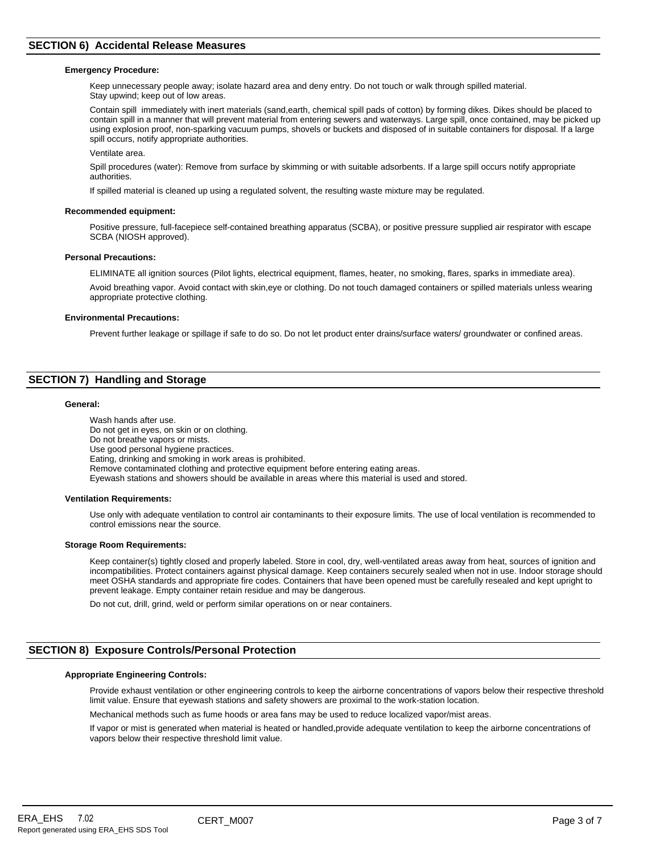#### **Emergency Procedure:**

Keep unnecessary people away; isolate hazard area and deny entry. Do not touch or walk through spilled material. Stay upwind; keep out of low areas.

Contain spill immediately with inert materials (sand,earth, chemical spill pads of cotton) by forming dikes. Dikes should be placed to contain spill in a manner that will prevent material from entering sewers and waterways. Large spill, once contained, may be picked up using explosion proof, non-sparking vacuum pumps, shovels or buckets and disposed of in suitable containers for disposal. If a large spill occurs, notify appropriate authorities.

Ventilate area.

Spill procedures (water): Remove from surface by skimming or with suitable adsorbents. If a large spill occurs notify appropriate authorities.

If spilled material is cleaned up using a regulated solvent, the resulting waste mixture may be regulated.

#### **Recommended equipment:**

Positive pressure, full-facepiece self-contained breathing apparatus (SCBA), or positive pressure supplied air respirator with escape SCBA (NIOSH approved).

#### **Personal Precautions:**

ELIMINATE all ignition sources (Pilot lights, electrical equipment, flames, heater, no smoking, flares, sparks in immediate area). Avoid breathing vapor. Avoid contact with skin,eye or clothing. Do not touch damaged containers or spilled materials unless wearing appropriate protective clothing.

#### **Environmental Precautions:**

Prevent further leakage or spillage if safe to do so. Do not let product enter drains/surface waters/ groundwater or confined areas.

# **SECTION 7) Handling and Storage**

#### **General:**

Wash hands after use. Do not get in eyes, on skin or on clothing. Do not breathe vapors or mists. Use good personal hygiene practices. Eating, drinking and smoking in work areas is prohibited. Remove contaminated clothing and protective equipment before entering eating areas. Eyewash stations and showers should be available in areas where this material is used and stored.

#### **Ventilation Requirements:**

Use only with adequate ventilation to control air contaminants to their exposure limits. The use of local ventilation is recommended to control emissions near the source.

#### **Storage Room Requirements:**

Keep container(s) tightly closed and properly labeled. Store in cool, dry, well-ventilated areas away from heat, sources of ignition and incompatibilities. Protect containers against physical damage. Keep containers securely sealed when not in use. Indoor storage should meet OSHA standards and appropriate fire codes. Containers that have been opened must be carefully resealed and kept upright to prevent leakage. Empty container retain residue and may be dangerous.

Do not cut, drill, grind, weld or perform similar operations on or near containers.

# **SECTION 8) Exposure Controls/Personal Protection**

#### **Appropriate Engineering Controls:**

Provide exhaust ventilation or other engineering controls to keep the airborne concentrations of vapors below their respective threshold limit value. Ensure that eyewash stations and safety showers are proximal to the work-station location.

Mechanical methods such as fume hoods or area fans may be used to reduce localized vapor/mist areas.

If vapor or mist is generated when material is heated or handled,provide adequate ventilation to keep the airborne concentrations of vapors below their respective threshold limit value.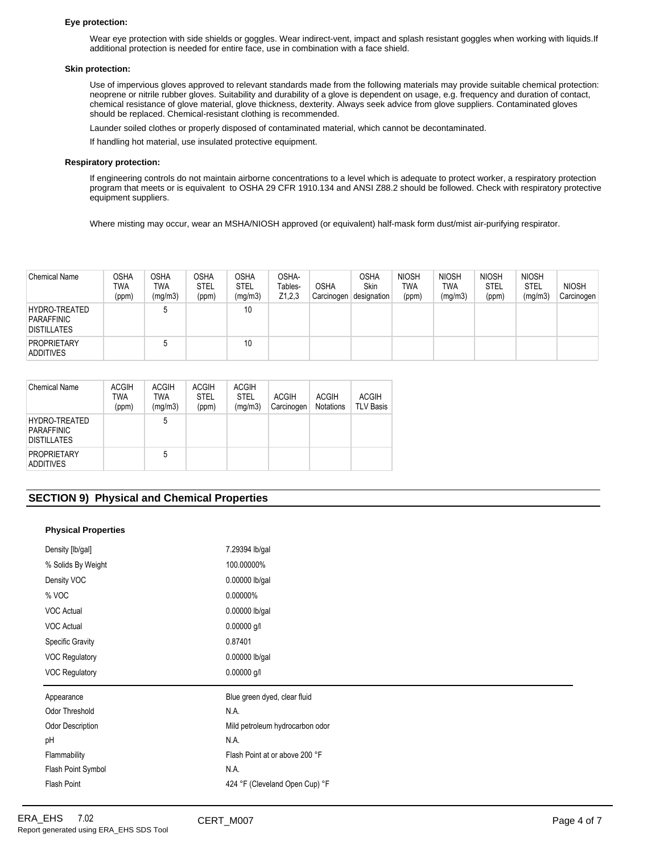#### **Eye protection:**

Wear eye protection with side shields or goggles. Wear indirect-vent, impact and splash resistant goggles when working with liquids.If additional protection is needed for entire face, use in combination with a face shield.

#### **Skin protection:**

Use of impervious gloves approved to relevant standards made from the following materials may provide suitable chemical protection: neoprene or nitrile rubber gloves. Suitability and durability of a glove is dependent on usage, e.g. frequency and duration of contact, chemical resistance of glove material, glove thickness, dexterity. Always seek advice from glove suppliers. Contaminated gloves should be replaced. Chemical-resistant clothing is recommended.

Launder soiled clothes or properly disposed of contaminated material, which cannot be decontaminated.

If handling hot material, use insulated protective equipment.

#### **Respiratory protection:**

If engineering controls do not maintain airborne concentrations to a level which is adequate to protect worker, a respiratory protection program that meets or is equivalent to OSHA 29 CFR 1910.134 and ANSI Z88.2 should be followed. Check with respiratory protective equipment suppliers.

Where misting may occur, wear an MSHA/NIOSH approved (or equivalent) half-mask form dust/mist air-purifying respirator.

| <b>Chemical Name</b>                                            | OSHA<br><b>TWA</b><br>(ppm) | <b>OSHA</b><br><b>TWA</b><br>(mg/m3) | <b>OSHA</b><br><b>STEL</b><br>(ppm) | <b>OSHA</b><br><b>STEL</b><br>(mg/m3) | OSHA-<br>Tables-<br>Z1,2,3 | <b>OSHA</b><br>Carcinogen | OSHA<br>Skin<br>designation | <b>NIOSH</b><br><b>TWA</b><br>(ppm) | <b>NIOSH</b><br><b>TWA</b><br>(mg/m3) | <b>NIOSH</b><br><b>STEL</b><br>(ppm) | <b>NIOSH</b><br>STEL<br>(mg/m3) | <b>NIOSH</b><br>Carcinogen |
|-----------------------------------------------------------------|-----------------------------|--------------------------------------|-------------------------------------|---------------------------------------|----------------------------|---------------------------|-----------------------------|-------------------------------------|---------------------------------------|--------------------------------------|---------------------------------|----------------------------|
| <b>HYDRO-TREATED</b><br><b>PARAFFINIC</b><br><b>DISTILLATES</b> |                             |                                      |                                     | 10                                    |                            |                           |                             |                                     |                                       |                                      |                                 |                            |
| <b>PROPRIETARY</b><br><b>ADDITIVES</b>                          |                             |                                      |                                     | 10                                    |                            |                           |                             |                                     |                                       |                                      |                                 |                            |

| Chemical Name                                            | <b>ACGIH</b><br>TWA<br>(ppm) | <b>ACGIH</b><br>TWA<br>(mg/m3) | <b>ACGIH</b><br><b>STEL</b><br>(ppm) | <b>ACGIH</b><br><b>STEL</b><br>(mg/m3) | <b>ACGIH</b><br>Carcinogen | <b>ACGIH</b><br><b>Notations</b> | <b>ACGIH</b><br><b>TLV Basis</b> |
|----------------------------------------------------------|------------------------------|--------------------------------|--------------------------------------|----------------------------------------|----------------------------|----------------------------------|----------------------------------|
| HYDRO-TREATED<br><b>PARAFFINIC</b><br><b>DISTILLATES</b> |                              | 5                              |                                      |                                        |                            |                                  |                                  |
| <b>PROPRIETARY</b><br><b>ADDITIVES</b>                   |                              | 5                              |                                      |                                        |                            |                                  |                                  |

# **SECTION 9) Physical and Chemical Properties**

#### **Physical Properties**

| Density [lb/gal]        | 7.29394 lb/gal                  |
|-------------------------|---------------------------------|
| % Solids By Weight      | 100.00000%                      |
| Density VOC             | 0.00000 lb/gal                  |
| % VOC                   | 0.00000%                        |
| <b>VOC Actual</b>       | 0.00000 lb/gal                  |
| <b>VOC Actual</b>       | $0.00000$ g/l                   |
| <b>Specific Gravity</b> | 0.87401                         |
| VOC Regulatory          | 0.00000 lb/gal                  |
|                         |                                 |
| VOC Regulatory          | $0.00000$ g/l                   |
| Appearance              | Blue green dyed, clear fluid    |
| Odor Threshold          | N.A.                            |
| <b>Odor Description</b> | Mild petroleum hydrocarbon odor |
| pH                      | N.A.                            |
| Flammability            | Flash Point at or above 200 °F  |
| Flash Point Symbol      | N.A.                            |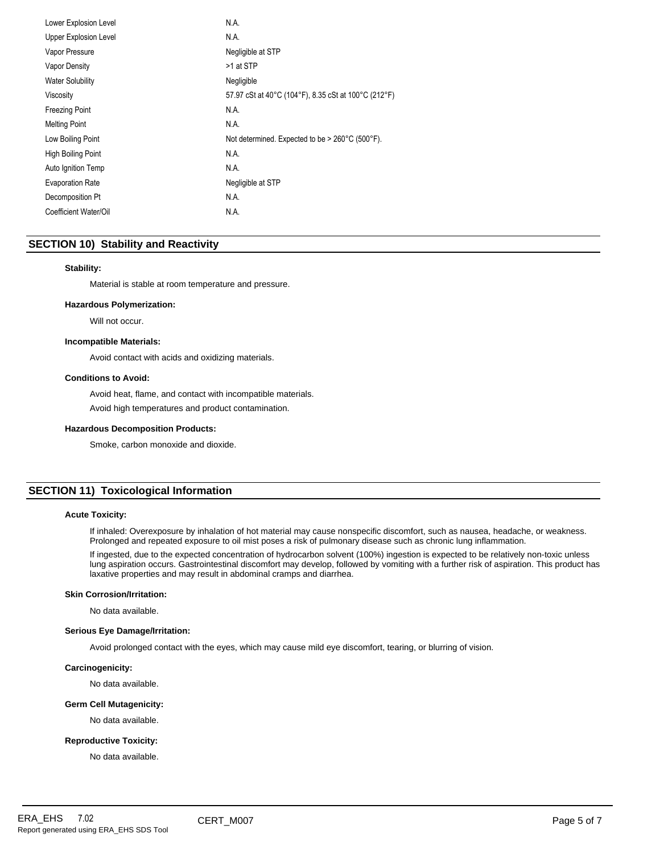| Lower Explosion Level        | N.A.                                                 |
|------------------------------|------------------------------------------------------|
| <b>Upper Explosion Level</b> | N.A.                                                 |
| Vapor Pressure               | Negligible at STP                                    |
| Vapor Density                | >1 at STP                                            |
| <b>Water Solubility</b>      | Negligible                                           |
| Viscosity                    | 57.97 cSt at 40°C (104°F), 8.35 cSt at 100°C (212°F) |
| <b>Freezing Point</b>        | N.A.                                                 |
| <b>Melting Point</b>         | N.A.                                                 |
| Low Boiling Point            | Not determined. Expected to be > 260°C (500°F).      |
| High Boiling Point           | N.A.                                                 |
| Auto Ignition Temp           | N.A.                                                 |
| <b>Evaporation Rate</b>      | Negligible at STP                                    |
| Decomposition Pt             | N.A.                                                 |
| Coefficient Water/Oil        | N.A.                                                 |

# **SECTION 10) Stability and Reactivity**

#### **Stability:**

Material is stable at room temperature and pressure.

#### **Hazardous Polymerization:**

Will not occur.

#### **Incompatible Materials:**

Avoid contact with acids and oxidizing materials.

#### **Conditions to Avoid:**

Avoid heat, flame, and contact with incompatible materials. Avoid high temperatures and product contamination.

#### **Hazardous Decomposition Products:**

Smoke, carbon monoxide and dioxide.

# **SECTION 11) Toxicological Information**

#### **Acute Toxicity:**

If inhaled: Overexposure by inhalation of hot material may cause nonspecific discomfort, such as nausea, headache, or weakness. Prolonged and repeated exposure to oil mist poses a risk of pulmonary disease such as chronic lung inflammation.

If ingested, due to the expected concentration of hydrocarbon solvent (100%) ingestion is expected to be relatively non-toxic unless lung aspiration occurs. Gastrointestinal discomfort may develop, followed by vomiting with a further risk of aspiration. This product has laxative properties and may result in abdominal cramps and diarrhea.

#### **Skin Corrosion/Irritation:**

No data available.

#### **Serious Eye Damage/Irritation:**

Avoid prolonged contact with the eyes, which may cause mild eye discomfort, tearing, or blurring of vision.

#### **Carcinogenicity:**

No data available.

# **Germ Cell Mutagenicity:**

No data available.

# **Reproductive Toxicity:**

No data available.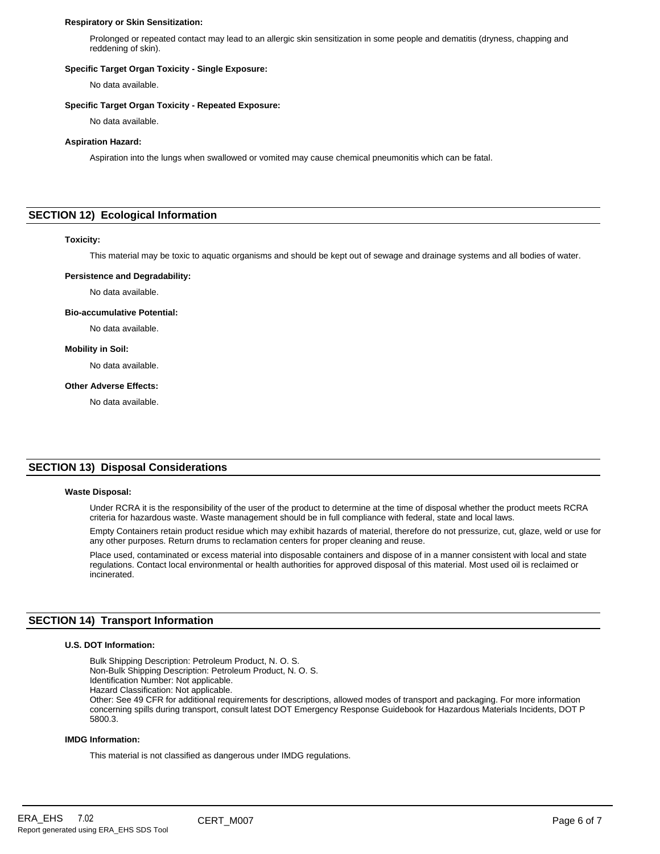#### **Respiratory or Skin Sensitization:**

Prolonged or repeated contact may lead to an allergic skin sensitization in some people and dematitis (dryness, chapping and reddening of skin).

#### **Specific Target Organ Toxicity - Single Exposure:**

No data available.

# **Specific Target Organ Toxicity - Repeated Exposure:**

No data available.

#### **Aspiration Hazard:**

Aspiration into the lungs when swallowed or vomited may cause chemical pneumonitis which can be fatal.

# **SECTION 12) Ecological Information**

#### **Toxicity:**

This material may be toxic to aquatic organisms and should be kept out of sewage and drainage systems and all bodies of water.

#### **Persistence and Degradability:**

No data available.

#### **Bio-accumulative Potential:**

No data available.

#### **Mobility in Soil:**

No data available.

# **Other Adverse Effects:**

No data available.

# **SECTION 13) Disposal Considerations**

#### **Waste Disposal:**

Under RCRA it is the responsibility of the user of the product to determine at the time of disposal whether the product meets RCRA criteria for hazardous waste. Waste management should be in full compliance with federal, state and local laws.

Empty Containers retain product residue which may exhibit hazards of material, therefore do not pressurize, cut, glaze, weld or use for any other purposes. Return drums to reclamation centers for proper cleaning and reuse.

Place used, contaminated or excess material into disposable containers and dispose of in a manner consistent with local and state regulations. Contact local environmental or health authorities for approved disposal of this material. Most used oil is reclaimed or incinerated.

# **SECTION 14) Transport Information**

#### **U.S. DOT Information:**

Bulk Shipping Description: Petroleum Product, N. O. S. Non-Bulk Shipping Description: Petroleum Product, N. O. S.

Identification Number: Not applicable.

Hazard Classification: Not applicable.

Other: See 49 CFR for additional requirements for descriptions, allowed modes of transport and packaging. For more information concerning spills during transport, consult latest DOT Emergency Response Guidebook for Hazardous Materials Incidents, DOT P 5800.3.

#### **IMDG Information:**

This material is not classified as dangerous under IMDG regulations.